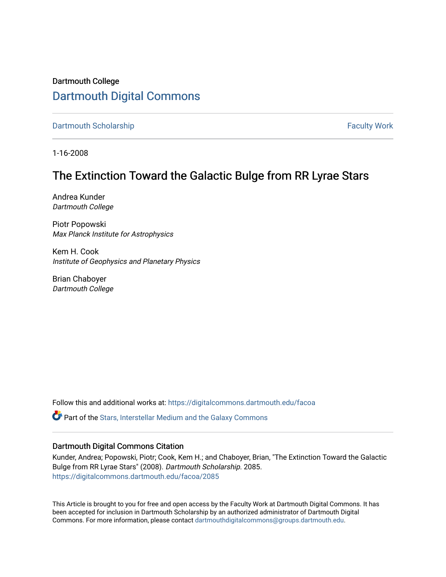# Dartmouth College [Dartmouth Digital Commons](https://digitalcommons.dartmouth.edu/)

[Dartmouth Scholarship](https://digitalcommons.dartmouth.edu/facoa) Faculty Work

1-16-2008

# The Extinction Toward the Galactic Bulge from RR Lyrae Stars

Andrea Kunder Dartmouth College

Piotr Popowski Max Planck Institute for Astrophysics

Kem H. Cook Institute of Geophysics and Planetary Physics

Brian Chaboyer Dartmouth College

Follow this and additional works at: [https://digitalcommons.dartmouth.edu/facoa](https://digitalcommons.dartmouth.edu/facoa?utm_source=digitalcommons.dartmouth.edu%2Ffacoa%2F2085&utm_medium=PDF&utm_campaign=PDFCoverPages)

Part of the [Stars, Interstellar Medium and the Galaxy Commons](http://network.bepress.com/hgg/discipline/127?utm_source=digitalcommons.dartmouth.edu%2Ffacoa%2F2085&utm_medium=PDF&utm_campaign=PDFCoverPages) 

## Dartmouth Digital Commons Citation

Kunder, Andrea; Popowski, Piotr; Cook, Kem H.; and Chaboyer, Brian, "The Extinction Toward the Galactic Bulge from RR Lyrae Stars" (2008). Dartmouth Scholarship. 2085. [https://digitalcommons.dartmouth.edu/facoa/2085](https://digitalcommons.dartmouth.edu/facoa/2085?utm_source=digitalcommons.dartmouth.edu%2Ffacoa%2F2085&utm_medium=PDF&utm_campaign=PDFCoverPages) 

This Article is brought to you for free and open access by the Faculty Work at Dartmouth Digital Commons. It has been accepted for inclusion in Dartmouth Scholarship by an authorized administrator of Dartmouth Digital Commons. For more information, please contact [dartmouthdigitalcommons@groups.dartmouth.edu](mailto:dartmouthdigitalcommons@groups.dartmouth.edu).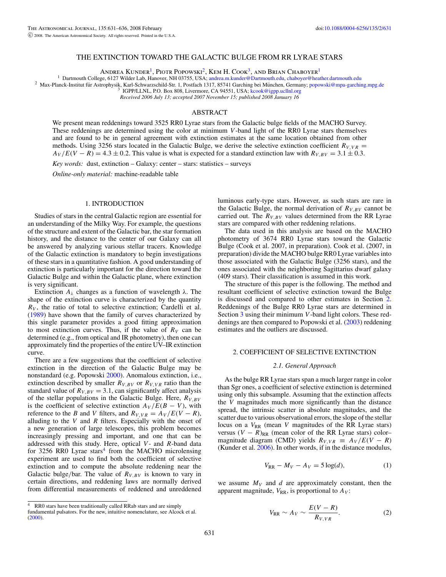#### THE EXTINCTION TOWARD THE GALACTIC BULGE FROM RR LYRAE STARS

ANDREA KUNDER<sup>1</sup>, PIOTR POPOWSKI<sup>2</sup>, KEM H. COOK<sup>3</sup>, AND BRIAN CHABOYER<sup>1</sup><br><sup>1</sup> Dartmouth College, 6127 Wilder Lab, Hanover, NH 03755, USA; andrea.m.kunder@Dartmouth.edu, chaboyer@heather.dartmouth.edu

<sup>2</sup> Max-Planck-Institut für Astrophysik, Karl-Schwarzschild-Str. 1, Postfach 1317, 85741 Garching bei München, Germany; [popowski@mpa-garching.mpg.de](mailto:popowski@mpa-garching.mpg.de)<br><sup>3</sup> IGPP/LLNL, P.O. Box 808, Livermore, CA 94551, USA; kcook@igpp.ucllnl.

*Received 2006 July 13; accepted 2007 November 15; published 2008 January 16*

#### ABSTRACT

We present mean reddenings toward 3525 RR0 Lyrae stars from the Galactic bulge fields of the MACHO Survey. These reddenings are determined using the color at minimum *V* -band light of the RR0 Lyrae stars themselves and are found to be in general agreement with extinction estimates at the same location obtained from other methods. Using 3256 stars located in the Galactic Bulge, we derive the selective extinction coefficient  $R_{V,VR}$  =  $A_V/E(V - R) = 4.3 \pm 0.2$ . This value is what is expected for a standard extinction law with  $R_{V, BV} = 3.1 \pm 0.3$ .

*Key words:* dust, extinction – Galaxy: center – stars: statistics – surveys

*Online-only material:* machine-readable table

#### 1. INTRODUCTION

Studies of stars in the central Galactic region are essential for an understanding of the Milky Way. For example, the questions of the structure and extent of the Galactic bar, the star formation history, and the distance to the center of our Galaxy can all be answered by analyzing various stellar tracers. Knowledge of the Galactic extinction is mandatory to begin investigations of these stars in a quantitative fashion. A good understanding of extinction is particularly important for the direction toward the Galactic Bulge and within the Galactic plane, where extinction is very significant.

Extinction *Aλ* changes as a function of wavelength *λ*. The shape of the extinction curve is characterized by the quantity  $R_V$ , the ratio of total to selective extinction; Cardelli et al. [\(1989\)](#page-6-0) have shown that the family of curves characterized by this single parameter provides a good fitting approximation to most extinction curves. Thus, if the value of  $R_V$  can be determined (e.g., from optical and IR photometry), then one can approximately find the properties of the entire UV–IR extinction curve.

There are a few suggestions that the coefficient of selective extinction in the direction of the Galactic Bulge may be nonstandard (e.g. Popowski [2000\)](#page-6-0). Anomalous extinction, i.e., extinction described by smaller  $R_{V, BV}$  or  $R_{V, VR}$  ratio than the standard value of  $R_{V, BV} = 3.1$ , can significantly affect analysis of the stellar populations in the Galactic Bulge. Here, *RV ,BV* is the coefficient of selective extinction  $A_V/E(B - V)$ , with reference to the *B* and *V* filters, and  $R_{V,VR} = A_V / E(V - R)$ , alluding to the *V* and *R* filters. Especially with the onset of a new generation of large telescopes, this problem becomes increasingly pressing and important, and one that can be addressed with this study. Here, optical *V* - and *R*-band data for 3256 RR0 Lyrae stars<sup>4</sup> from the MACHO microlensing experiment are used to find both the coefficient of selective extinction and to compute the absolute reddening near the Galactic bulge/bar. The value of  $R_{V, BV}$  is known to vary in certain directions, and reddening laws are normally derived from differential measurements of reddened and unreddened luminous early-type stars. However, as such stars are rare in the Galactic Bulge, the normal derivation of  $R_{V,BV}$  cannot be carried out. The  $R_{V, BV}$  values determined from the RR Lyrae stars are compared with other reddening relations.

The data used in this analysis are based on the MACHO photometry of 3674 RR0 Lyrae stars toward the Galactic Bulge (Cook et al. 2007, in preparation). Cook et al. (2007, in preparation) divide the MACHO bulge RR0 Lyrae variables into those associated with the Galactic Bulge (3256 stars), and the ones associated with the neighboring Sagittarius dwarf galaxy (409 stars). Their classification is assumed in this work.

The structure of this paper is the following. The method and resultant coefficient of selective extinction toward the Bulge is discussed and compared to other estimates in Section 2. Reddenings of the Bulge RR0 Lyrae stars are determined in Section [3](#page-4-0) using their minimum *V* -band light colors. These reddenings are then compared to Popowski et al. [\(2003\)](#page-6-0) reddening estimates and the outliers are discussed.

### 2. COEFFICIENT OF SELECTIVE EXTINCTION

#### *2.1. General Approach*

As the bulge RR Lyrae stars span a much larger range in color than Sgr ones, a coefficient of selective extinction is determined using only this subsample. Assuming that the extinction affects the *V* magnitudes much more significantly than the distance spread, the intrinsic scatter in absolute magnitudes, and the scatter due to various observational errors, the slope of the stellar locus on a  $V_{RR}$  (mean *V* magnitudes of the RR Lyrae stars) versus  $(V - R)_{RR}$  (mean color of the RR Lyrae stars) color– magnitude diagram (CMD) yields  $R_{V,VR} \equiv A_V / E(V - R)$ (Kunder et al. [2006\)](#page-6-0). In other words, if in the distance modulus,

$$
V_{\rm RR} - M_V - A_V = 5 \log(d),\tag{1}
$$

we assume  $M_V$  and  $d$  are approximately constant, then the apparent magnitude,  $V_{RR}$ , is proportional to  $A_V$ :

$$
V_{\rm RR} \sim A_V \sim \frac{E(V-R)}{R_{V,VR}}.\tag{2}
$$

<sup>4</sup> RR0 stars have been traditionally called RRab stars and are simply

fundamental pulsators. For the new, intuitive nomenclature, see Alcock et al. [\(2000\)](#page-6-0).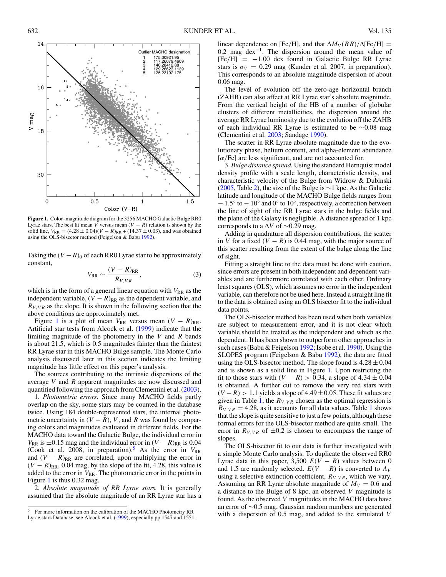<span id="page-2-0"></span>

**Figure 1.** Color–magnitude diagram for the 3256 MACHO Galactic Bulge RR0 Lyrae stars. The best fit mean  $\overline{V}$  versus mean  $(V - R)$  relation is shown by the solid line,  $V_{RR} = (4.28 \pm 0.04)(V - R)_{RR} + (14.37 \pm 0.03)$ , and was obtained using the OLS-bisector method (Feigelson & Babu [1992\)](#page-6-0).

Taking the  $(V - R)$ <sup>0</sup> of each RR0 Lyrae star to be approximately constant,

$$
V_{\rm RR} \sim \frac{(V - R)_{\rm RR}}{R_{V,VR}},\tag{3}
$$

which is in the form of a general linear equation with  $V_{RR}$  as the independent variable,  $(V - R)_{RR}$  as the dependent variable, and  $R_{V,VR}$  as the slope. It is shown in the following section that the above conditions are approximately met.

Figure 1 is a plot of mean  $V_{RR}$  versus mean  $(V - R)_{RR}$ . Artificial star tests from Alcock et al. [\(1999\)](#page-6-0) indicate that the limiting magnitude of the photometry in the *V* and *R* bands is about 21.5, which is 0.5 magnitudes fainter than the faintest RR Lyrae star in this MACHO Bulge sample. The Monte Carlo analysis discussed later in this section indicates the limiting magnitude has little effect on this paper's analysis.

The sources contributing to the intrinsic dispersions of the average *V* and *R* apparent magnitudes are now discussed and quantified following the approach from Clementini et al. [\(2003\)](#page-6-0).

1. *Photometric errors.* Since many MACHO fields partly overlap on the sky, some stars may be counted in the database twice. Using 184 double-represented stars, the internal photometric uncertainty in  $(V - R)$ , *V*, and *R* was found by comparing colors and magnitudes evaluated in different fields. For the MACHO data toward the Galactic Bulge, the individual error in *V*<sub>RR</sub> is  $\pm$ 0.15 mag and the individual error in  $(V - R)_{RR}$  is 0.04 (Cook et al. 2008, in preparation).<sup>5</sup> As the error in  $V_{RR}$ and  $(V - R)_{RR}$  are correlated, upon multiplying the error in  $(V - R)_{RR}$ , 0.04 mag, by the slope of the fit, 4.28, this value is added to the error in  $V_{RR}$ . The photometric error in the points in Figure 1 is thus 0.32 mag.

2. *Absolute magnitude of RR Lyrae stars.* It is generally assumed that the absolute magnitude of an RR Lyrae star has a linear dependence on [Fe/H], and that  $\Delta M_V (RR)/\Delta$ [Fe/H] = 0.2 mag dex−1. The dispersion around the mean value of  $[Fe/H] = -1.00$  dex found in Galactic Bulge RR Lyrae stars is  $\sigma_V = 0.29$  mag (Kunder et al. 2007, in preparation). This corresponds to an absolute magnitude dispersion of about 0.06 mag.

The level of evolution off the zero-age horizontal branch (ZAHB) can also affect at RR Lyrae star's absolute magnitude. From the vertical height of the HB of a number of globular clusters of different metallicities, the dispersion around the average RR Lyrae luminosity due to the evolution off the ZAHB of each individual RR Lyrae is estimated to be ∼0.08 mag (Clementini et al. [2003;](#page-6-0) Sandage [1990\)](#page-6-0).

The scatter in RR Lyrae absolute magnitude due to the evolutionary phase, helium content, and alpha-element abundance [*α/*Fe] are less significant, and are not accounted for.

3. *Bulge distance spread.* Using the standard Hernquist model density profile with a scale length, characteristic density, and characteristic velocity of the Bulge from Widrow & Dubinski [\(2005,](#page-6-0) Table [2\)](#page-4-0), the size of the Bulge is ∼1 kpc. As the Galactic latitude and longitude of the MACHO Bulge fields ranges from − 1.5◦ to − 10◦ and 0◦ to 10◦, respectively, a correction between the line of sight of the RR Lyrae stars in the bulge fields and the plane of the Galaxy is negligible. A distance spread of 1 kpc corresponds to a ∆*V* of ∼0.29 mag.

Adding in quadrature all dispersion contributions, the scatter in *V* for a fixed  $(V - R)$  is 0.44 mag, with the major source of this scatter resulting from the extent of the bulge along the line of sight.

Fitting a straight line to the data must be done with caution, since errors are present in both independent and dependent variables and are furthermore correlated with each other. Ordinary least squares (OLS), which assumes no error in the independent variable, can therefore not be used here. Instead a straight line fit to the data is obtained using an OLS bisector fit to the individual data points.

The OLS-bisector method has been used when both variables are subject to measurement error, and it is not clear which variable should be treated as the independent and which as the dependent. It has been shown to outperform other approaches in such cases (Babu & Feigelson [1992;](#page-6-0) Isobe et al. [1990\)](#page-6-0). Using the SLOPES program (Feigelson & Babu [1992\)](#page-6-0), the data are fitted using the OLS-bisector method. The slope found is  $4.28 \pm 0.04$ and is shown as a solid line in Figure 1. Upon restricting the fit to those stars with  $(V - R) > 0.34$ , a slope of  $4.34 \pm 0.04$ is obtained. A further cut to remove the very red stars with  $(V - R) > 1.1$  yields a slope of  $4.49 \pm 0.05$ . These fit values are given in Table [1;](#page-3-0) the  $R_{V,VR}$  chosen as the optimal regression is  $R_{V,VR} = 4.28$ , as it accounts for all data values. Table [1](#page-3-0) shows that the slope is quite sensitive to just a few points, although these formal errors for the OLS-bisector method are quite small. The error in  $R_{V,VR}$  of  $\pm 0.2$  is chosen to encompass the range of slopes.

The OLS-bisector fit to our data is further investigated with a simple Monte Carlo analysis. To duplicate the observed RR0 Lyrae data in this paper, 3,500  $E(V - R)$  values between 0 and 1.5 are randomly selected.  $E(V - R)$  is converted to  $A_V$ using a selective extinction coefficient,  $R_{V,VR}$ , which we vary. Assuming an RR Lyrae absolute magnitude of  $M_V = 0.6$  and a distance to the Bulge of 8 kpc, an observed *V* magnitude is found. As the observed *V* magnitudes in the MACHO data have an error of ∼0.5 mag, Gaussian random numbers are generated with a dispersion of 0.5 mag, and added to the simulated *V*

<sup>5</sup> For more information on the calibration of the MACHO Photometry RR Lyrae stars Database, see Alcock et al. [\(1999\)](#page-6-0), especially pp 1547 and 1551.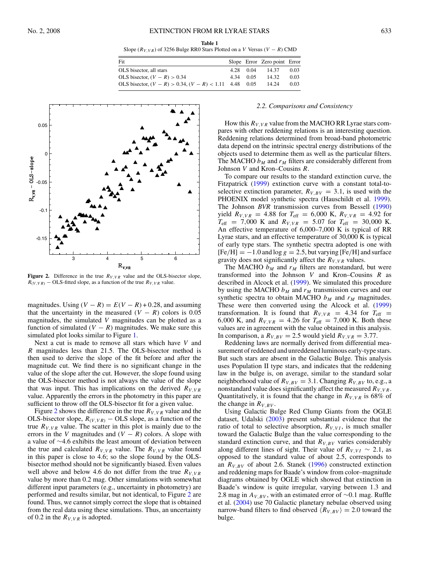**Table 1**

Slope ( $R_{V,VR}$ ) of 3256 Bulge RR0 Stars Plotted on a *V* Versus ( $V - R$ ) CMD

| Fit                                                         |           | Slope Error Zero point Error |      |
|-------------------------------------------------------------|-----------|------------------------------|------|
| OLS bisector, all stars                                     | 4.28 0.04 | 14.37                        | 0.03 |
| OLS bisector, $(V - R) > 0.34$                              | 434 005   | 14.32                        | 0.03 |
| OLS bisector, $(V - R) > 0.34$ , $(V - R) < 1.11$ 4.48 0.05 |           | 14.24                        | 0.03 |

<span id="page-3-0"></span>

**Figure 2.** Difference in the true  $R_{V,VR}$  value and the OLS-bisector slope,  $R(V, VR)$  − OLS-fitted slope, as a function of the true  $R_{V,VR}$  value.

magnitudes. Using  $(V - R) = E(V - R) + 0.28$ , and assuming that the uncertainty in the measured  $(V - R)$  colors is 0.05 magnitudes, the simulated *V* magnitudes can be plotted as a function of simulated  $(V - R)$  magnitudes. We make sure this simulated plot looks similar to Figure [1.](#page-2-0)

Next a cut is made to remove all stars which have *V* and *R* magnitudes less than 21.5. The OLS-bisector method is then used to derive the slope of the fit before and after the magnitude cut. We find there is no significant change in the value of the slope after the cut. However, the slope found using the OLS-bisector method is not always the value of the slope that was input. This has implications on the derived  $R_{V,VR}$ value. Apparently the errors in the photometry in this paper are sufficient to throw off the OLS-bisector fit for a given value.

Figure 2 shows the difference in the true  $R_{V,VR}$  value and the OLS-bisector slope,  $R_{(V,VR)}$  – OLS slope, as a function of the true  $R_{V,VR}$  value. The scatter in this plot is mainly due to the errors in the *V* magnitudes and  $(V - R)$  colors. A slope with a value of ∼4.6 exhibits the least amount of deviation between the true and calculated  $R_{V,VR}$  value. The  $R_{V,VR}$  value found in this paper is close to 4.6; so the slope found by the OLSbisector method should not be significantly biased. Even values well above and below 4.6 do not differ from the true  $R_{V,VR}$ value by more than 0.2 mag. Other simulations with somewhat different input parameters (e.g., uncertainty in photometry) are performed and results similar, but not identical, to Figure 2 are found. Thus, we cannot simply correct the slope that is obtained from the real data using these simulations. Thus, an uncertainty of 0.2 in the  $R_{V,VR}$  is adopted.

#### *2.2. Comparisons and Consistency*

How this  $R_{V,VR}$  value from the MACHO RR Lyrae stars compares with other reddening relations is an interesting question. Reddening relations determined from broad-band photometric data depend on the intrinsic spectral energy distributions of the objects used to determine them as well as the particular filters. The MACHO  $b_M$  and  $r_M$  filters are considerably different from Johnson *V* and Kron–Cousins *R*.

To compare our results to the standard extinction curve, the Fitzpatrick [\(1999\)](#page-6-0) extinction curve with a constant total-toselective extinction parameter,  $R_{V, BV} = 3.1$ , is used with the PHOENIX model synthetic spectra (Hauschildt et al. [1999\)](#page-6-0). The Johnson *BVR* transmission curves from Bessell [\(1990\)](#page-6-0) yield  $R_{V,VR} = 4.88$  for  $T_{\text{eff}} = 6,000$  K,  $R_{V,VR} = 4.92$  for  $T_{\text{eff}}$  = 7,000 K and  $R_{V,VR}$  = 5.07 for  $T_{\text{eff}}$  = 30,000 K. An effective temperature of 6,000–7,000 K is typical of RR Lyrae stars, and an effective temperature of 30,000 K is typical of early type stars. The synthetic spectra adopted is one with  $[Fe/H] = -1.0$  and  $\log g = 2.5$ , but varying  $[Fe/H]$  and surface gravity does not significantly affect the  $R_{V,VR}$  values.

The MACHO  $b_M$  and  $r_M$  filters are nonstandard, but were transformed into the Johnson *V* and Kron–Cousins *R* as described in Alcock et al. [\(1999\)](#page-6-0). We simulated this procedure by using the MACHO  $b_M$  and  $r_M$  transmission curves and our synthetic spectra to obtain MACHO  $b_M$  and  $r_M$  magnitudes. These were then converted using the Alcock et al. [\(1999\)](#page-6-0) transformation. It is found that  $R_{V,VR}$  = 4.34 for  $T_{\text{eff}}$  = 6,000 K, and  $R_{V,VR} = 4.26$  for  $T_{\text{eff}} = 7,000$  K. Both these values are in agreement with the value obtained in this analysis. In comparison, a  $R_{V,BV} = 2.5$  would yield  $R_{V,VR} = 3.77$ .

Reddening laws are normally derived from differential measurement of reddened and unreddened luminous early-type stars. But such stars are absent in the Galactic Bulge. This analysis uses Population II type stars, and indicates that the reddening law in the bulge is, on average, similar to the standard solar neighborhood value of  $R_{V, BV} = 3.1$ . Changing  $R_{V, BV}$  to, e.g., a nonstandard value does significantly affect the measured  $R_{V,VR}$ . Quantitatively, it is found that the change in  $R_{V,VR}$  is 68% of the change in  $R_{V,BV}$ .

Using Galactic Bulge Red Clump Giants from the OGLE dataset, Udalski [\(2003\)](#page-6-0) present substantial evidence that the ratio of total to selective absorption,  $R_{V, VI}$ , is much smaller toward the Galactic Bulge than the value corresponding to the standard extinction curve, and that  $R_{V, BV}$  varies considerably along different lines of sight. Their value of  $R_{V,VI} \sim 2.1$ , as opposed to the standard value of about 2.5, corresponds to an  $R_{V,BV}$  of about 2.6. Stanek [\(1996\)](#page-6-0) constructed extinction and reddening maps for Baade's window from color–magnitude diagrams obtained by OGLE which showed that extinction in Baade's window is quite irregular, varying between 1.3 and 2.8 mag in *A<sub>V,BV</sub>*, with an estimated error of ∼0.1 mag. Ruffle et al. [\(2004\)](#page-6-0) use 70 Galactic planetary nebulae observed using narrow-band filters to find observed  $\langle R_{V,BV} \rangle = 2.0$  toward the bulge.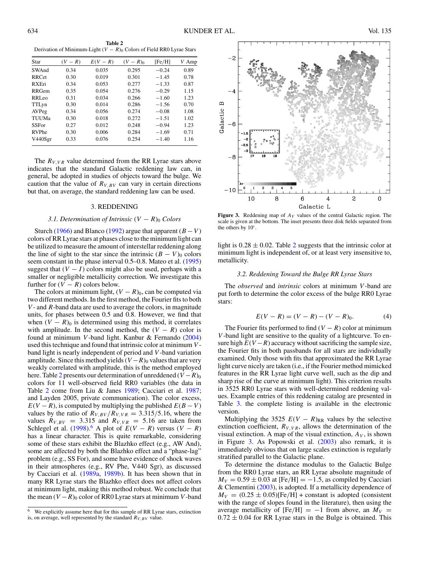<span id="page-4-0"></span>**Table 2** Derivation of Minimum-Light  $(V - R)_0$  Colors of Field RR0 Lyrae Stars

| Star              | $(V - R)$ | $E(V-R)$ | $(V - R)_{0}$ | [Fe/H]  | V Amp |
|-------------------|-----------|----------|---------------|---------|-------|
| SWAnd             | 0.34      | 0.035    | 0.295         | $-0.24$ | 0.89  |
| <b>RRCet</b>      | 0.30      | 0.019    | 0.301         | $-1.45$ | 0.78  |
| <b>RXEri</b>      | 0.34      | 0.053    | 0.277         | $-1.33$ | 0.87  |
| <b>RRGem</b>      | 0.35      | 0.054    | 0.276         | $-0.29$ | 1.15  |
| RRL <sub>eo</sub> | 0.31      | 0.034    | 0.266         | $-1.60$ | 1.23  |
| TTLyn             | 0.30      | 0.014    | 0.286         | $-1.56$ | 0.70  |
| AVPeg             | 0.34      | 0.056    | 0.274         | $-0.08$ | 1.08  |
| TUUMa             | 0.30      | 0.018    | 0.272         | $-1.51$ | 1.02  |
| <b>SSFor</b>      | 0.27      | 0.012    | 0.248         | $-0.94$ | 1.23  |
| <b>RVPhe</b>      | 0.30      | 0.006    | 0.284         | $-1.69$ | 0.71  |
| V440Sgr           | 0.33      | 0.076    | 0.254         | $-1.40$ | 1.16  |

The  $R_{V,VR}$  value determined from the RR Lyrae stars above indicates that the standard Galactic reddening law can, in general, be adopted in studies of objects toward the bulge. We caution that the value of  $R_{V,BV}$  can vary in certain directions but that, on average, the standard reddening law can be used.

#### 3. REDDENING

#### *3.1. Determination of Intrinsic*  $(V - R)_0$  *Colors*

Sturch [\(1966\)](#page-6-0) and Blanco [\(1992\)](#page-6-0) argue that apparent  $(B - V)$ colors of RR Lyrae stars at phases close to the minimum light can be utilized to measure the amount of interstellar reddening along the line of sight to the star since the intrinsic  $(B - V)_0$  colors seem constant in the phase interval 0.5–0.8. Mateo et al. [\(1995\)](#page-6-0) suggest that  $(V - I)$  colors might also be used, perhaps with a smaller or negligible metallicity correction. We investigate this further for  $(V - R)$  colors below.

The colors at minimum light,  $(V - R)_0$ , can be computed via two different methods. In the first method, the Fourier fits to both *V* - and *R*-band data are used to average the colors, in magnitude units, for phases between 0.5 and 0.8. However, we find that when  $(V - R)$ <sup>0</sup> is determined using this method, it correlates with amplitude. In the second method, the  $(V - R)$  color is found at minimum *V* -band light. Kanbur & Fernando [\(2004\)](#page-6-0) used this technique and found that intrinsic color at minimum *V* band light is nearly independent of period and *V* -band variation amplitude. Since this method yields  $(V - R)_0$  values that are very weakly correlated with amplitude, this is the method employed here. Table 2 presents our determination of unreddened  $(V - R)$ <sub>0</sub> colors for 11 well-observed field RR0 variables (the data in Table 2 come from Liu & Janes [1989;](#page-6-0) Cacciari et al. [1987;](#page-6-0) and Layden 2005, private communication). The color excess,  $E(V - R)$ , is computed by multiplying the published  $E(B - V)$ values by the ratio of  $R_{V, BV}/R_{V, VR} = 3.315/5.16$ , where the values  $R_{V,BV}$  = 3.315 and  $R_{V,VR}$  = 5.16 are taken from Schlegel et al. [\(1998\)](#page-6-0).<sup>6</sup> A plot of  $E(V - R)$  versus  $(V - R)$ has a linear character. This is quite remarkable, considering some of these stars exhibit the Blazhko effect (e.g., AW And), some are affected by both the Blazhko effect and a "phase-lag" problem (e.g., SS For), and some have evidence of shock waves in their atmospheres (e.g., RV Phe, V440 Sgr), as discussed by Cacciari et al. [\(1989a,](#page-6-0) [1989b\)](#page-6-0). It has been shown that in many RR Lyrae stars the Blazhko effect does not affect colors at minimum light, making this method robust. We conclude that the mean  $(V - R)_0$  color of RR0 Lyrae stars at minimum *V* -band



**Figure 3.** Reddening map of  $A_V$  values of the central Galactic region. The scale is given at the bottom. The inset presents three disk fields separated from the others by  $10°$ .

light is  $0.28 \pm 0.02$ . Table 2 suggests that the intrinsic color at minimum light is independent of, or at least very insensitive to, metallicity.

#### *3.2. Reddening Toward the Bulge RR Lyrae Stars*

The *observed* and *intrinsic* colors at minimum *V* -band are put forth to determine the color excess of the bulge RR0 Lyrae stars:

$$
E(V - R) = (V - R) - (V - R)_{0}.
$$
 (4)

The Fourier fits performed to find  $(V - R)$  color at minimum *V* -band light are sensitive to the quality of a lightcurve. To ensure high  $E(V - R)$  accuracy without sacrificing the sample size, the Fourier fits in both passbands for all stars are individually examined. Only those with fits that approximated the RR Lyrae light curve nicely are taken (i.e., if the Fourier method mimicked features in the RR Lyrae light curve well, such as the dip and sharp rise of the curve at minimum light). This criterion results in 3525 RR0 Lyrae stars with well-determined reddening values. Example entries of this reddening catalog are presented in Table [3.](#page-5-0) the complete listing is available in the electronic version.

Multiplying the 3525  $E(V - R)_{RR}$  values by the selective extinction coefficient,  $R_{V,VR}$ , allows the determination of the visual extinction. A map of the visual extinction,  $A_V$ , is shown in Figure 3. As Popowski et al. [\(2003\)](#page-6-0) also remark, it is immediately obvious that on large scales extinction is regularly stratified parallel to the Galactic plane.

To determine the distance modulus to the Galactic Bulge from the RR0 Lyrae stars, an RR Lyrae absolute magnitude of  $M_V = 0.59 \pm 0.03$  at [Fe/H] =  $-1.5$ , as compiled by Cacciari & Clementini [\(2003\)](#page-6-0), is adopted. If a metallicity dependence of  $M_V = (0.25 \pm 0.05)$ [Fe/H] + constant is adopted (consistent with the range of slopes found in the literature), then using the average metallicity of  $[Fe/H] = -1$  from above, an  $M_V =$  $0.72 \pm 0.04$  for RR Lyrae stars in the Bulge is obtained. This

<sup>6</sup> We explicitly assume here that for this sample of RR Lyrae stars, extinction is, on average, well represented by the standard  $R_{V,BV}$  value.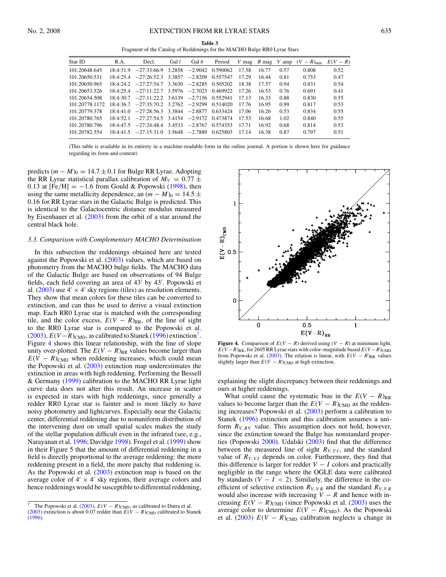**Table 3** Fragment of the Catalog of Reddenings for the MACHO Bulge RR0 Lyrae Stars

<span id="page-5-0"></span>

| Star ID        | R.A. | Decl.                                                   | Gal $l$ | Gal <i>b</i> | Period   |       |       |      | V mag R mag V amp $(V - R)_{\text{min}}$ | $E(V - R)$ |
|----------------|------|---------------------------------------------------------|---------|--------------|----------|-------|-------|------|------------------------------------------|------------|
| 101.20648.645  |      | $18:4:31.9$ $-27:33:66.9$ $3.2858$ $-2.9042$ 0.590062   |         |              |          | 17.58 | 16.77 | 0.57 | 0.808                                    | 0.52       |
| 101.20650.531  |      | $18:4:25.4$ $-27:26:52.3$ 3.3857                        |         | $-2.8209$    | 0.557547 | 17.29 | 16.44 | 0.81 | 0.753                                    | 0.47       |
| 101.20650.965  |      | $18:4:24.2$ $-27:27:54.7$ $3.3630$ $-2.8285$ 0.505202   |         |              |          | 18.38 | 17.57 | 0.94 | 0.831                                    | 0.54       |
| 101.20653.526  |      | $18:4:25.4$ $-27:11:22.7$ $3.5976$ $-2.7023$ 0.469922   |         |              |          | 17.26 | 16.53 | 0.76 | 0.691                                    | 0.41       |
| 101.20654.508  |      | $18.4.307 -27.11.222 - 36139 - 27156 - 0552941$         |         |              |          | 17 13 | 1633  | 0.88 | 0.830                                    | 0.55       |
| 101.20778.1172 |      | $18:4:36.7$ $-27:35:70.2$ $3.2762$ $-2.9299$ $0.514020$ |         |              |          | 17.76 | 1695  | 0.99 | 0.817                                    | 0.53       |
| 101.20779.378  |      | $18:4:41.0$ $-27:28:56.3$ $3.3844$ $-2.8877$            |         |              | 0.633424 | 17.06 | 16.26 | 0.53 | 0.834                                    | 0.55       |
| 101.20780.765  |      | $18:4:52.1$ $-27:27:54.5$ $3.4154$ $-2.9172$ 0.473874   |         |              |          | 17.53 | 16.68 | 1.02 | 0.840                                    | 0.55       |
| 101.20780.796  |      | $18:4:47.5$ $-27:24:48.4$ $3.4533$ $-2.8767$            |         |              | 0.574353 | 1771  | 16.92 | 0.68 | 0.814                                    | 0.53       |
| 101.20782.554  |      | $18:4:41.5$ $-27:15:31.0$ $3.5648$ $-2.7889$            |         |              | 0.625803 | 17 14 | 16.38 | 0.87 | 0.797                                    | 0.51       |

(This table is available in its entirety in a machine-readable form in the online journal. A portion is shown here for guidance regarding its form and content)

predicts  $(m - M)_0 = 14.7 \pm 0.1$  for Bulge RR Lyrae. Adopting the RR Lyrae statistical parallax calibration of  $M_V = 0.77 \pm$ 0.13 at  $[Fe/H] = -1.6$  from Gould & Popowski [\(1998\)](#page-6-0), then using the same metallicity dependence, an  $(m - M)_0 = 14.5 \pm 10$ 0*.*16 for RR Lyrae stars in the Galactic Bulge is predicted. This is identical to the Galactocentric distance modulus measured by Eisenhauer et al. [\(2003\)](#page-6-0) from the orbit of a star around the central black hole.

#### *3.3. Comparison with Complementary MACHO Determination*

In this subsection the reddenings obtained here are tested against the Popowski et al. [\(2003\)](#page-6-0) values, which are based on photometry from the MACHO bulge fields. The MACHO data of the Galactic Bulge are based on observations of 94 Bulge fields, each field covering an area of 43' by 43'. Popowski et al. [\(2003\)](#page-6-0) use  $4' \times 4'$  sky regions (tiles) as resolution elements. They show that mean colors for these tiles can be converted to extinction, and can thus be used to derive a visual extinction map. Each RR0 Lyrae star is matched with the corresponding tile, and the color excess,  $E(V - R)_{RR}$ , of the line of sight to the RR0 Lyrae star is compared to the Popowski et al. [\(2003\)](#page-6-0),  $E(V-R)_{\text{CMD}}$ , as calibrated to Stanek [\(1996\)](#page-6-0) extinction<sup>7</sup>. Figure 4 shows this linear relationship, with the line of slope unity over-plotted. The  $E(V - R)_{RR}$  values become larger than  $E(V - R)_{\text{CMD}}$  when reddening increases, which could mean the Popowski et al. [\(2003\)](#page-6-0) extinction map underestimates the extinction in areas with high reddening. Performing the Bessell & Germany [\(1999\)](#page-6-0) calibration to the MACHO RR Lyrae light curve data does not alter this result. An increase in scatter is expected in stars with high reddenings, since generally a redder RR0 Lyrae star is fainter and is more likely to have noisy photometry and lightcurves. Especially near the Galactic center, differential reddening due to nonuniform distribution of the intervening dust on small spatial scales makes the study of the stellar population difficult even in the infrared (see, e.g., Narayanan et al. [1996;](#page-6-0) Davidge [1998\)](#page-6-0). Frogel et al. [\(1999\)](#page-6-0) show in their Figure 5 that the amount of differential reddening in a field is directly proportional to the average reddening: the more reddening present in a field, the more patchy that reddening is. As the Popowski et al. [\(2003\)](#page-6-0) extinction map is based on the average color of  $4' \times 4'$  sky regions, their average colors and hence reddenings would be susceptible to differential reddening,



**Figure 4.** Comparison of  $E(V - R)$  derived using  $(V - R)$  at minimum light,  $E(V-R)_{RR}$ , for 2605 RR Lyrae stars with color–magnitude based  $E(V-R)_{CMD}$ from Popowski et al. [\(2003\)](#page-6-0). The relation is linear, with  $E(V - R)_{RR}$  values slightly larger than  $E(V - R)_{\text{CMD}}$  at high extinction.

explaining the slight discrepancy between their reddenings and ours at higher reddenings.

What could cause the systematic bias in the  $E(V - R)_{RR}$ values to become larger than the  $E(V - R)_{\text{CMD}}$  as the reddening increases? Popowski et al. [\(2003\)](#page-6-0) perform a calibration to Stanek [\(1996\)](#page-6-0) extinction and this calibration assumes a uniform  $R_{V, BV}$  value. This assumption does not hold, however, since the extinction toward the Bulge has nonstandard properties (Popowski [2000\)](#page-6-0). Udalski [\(2003\)](#page-6-0) find that the difference between the measured line of sight  $R_{V,VI}$ , and the standard value of  $R_{V,VI}$  depends on color. Furthermore, they find that this difference is larger for redder  $V - I$  colors and practically negligible in the range where the OGLE data were calibrated by standards  $(V - I < 2)$ . Similarly, the difference in the coefficient of selective extinction  $R_{V,VR}$  and the standard  $R_{V,VR}$ would also increase with increasing  $V - R$  and hence with increasing  $E(V - R)_{\text{CMD}}$  (since Popowski et al. [\(2003\)](#page-6-0) uses the average color to determine  $E(V - R)_{\text{CMD}}$ ). As the Popowski et al.  $(2003)$   $E(V - R)_{\text{CMD}}$  calibration neglects a change in

<sup>&</sup>lt;sup>7</sup> The Popowski et al. [\(2003\)](#page-6-0),  $E(V - R)_{\text{CMD}}$ , as calibrated to Dutra et al. [\(2003\)](#page-6-0) extinction is about 0.07 redder than  $E(V - R)_{\text{CMD}}$  calibrated to Stanek [\(1996\)](#page-6-0).